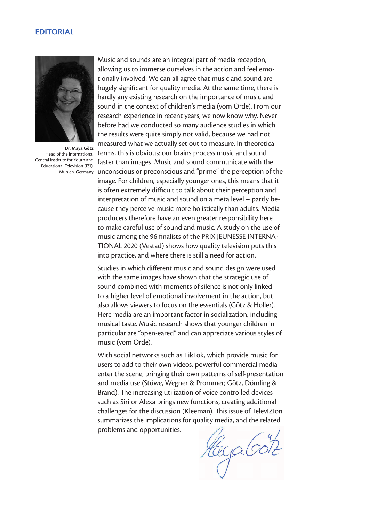# **EDITORIAL**



**Dr. Maya Götz** Head of the International Central Institute for Youth and Educational Television (IZI),

Munich, Germany unconscious or preconscious and "prime" the perception of the Music and sounds are an integral part of media reception, allowing us to immerse ourselves in the action and feel emotionally involved. We can all agree that music and sound are hugely significant for quality media. At the same time, there is hardly any existing research on the importance of music and sound in the context of children's media (vom Orde). From our research experience in recent years, we now know why. Never before had we conducted so many audience studies in which the results were quite simply not valid, because we had not measured what we actually set out to measure. In theoretical terms, this is obvious: our brains process music and sound faster than images. Music and sound communicate with the image. For children, especially younger ones, this means that it is often extremely difficult to talk about their perception and interpretation of music and sound on a meta level – partly because they perceive music more holistically than adults. Media producers therefore have an even greater responsibility here to make careful use of sound and music. A study on the use of music among the 96 finalists of the PRIX JEUNESSE INTERNA-TIONAL 2020 (Vestad) shows how quality television puts this into practice, and where there is still a need for action.

> Studies in which different music and sound design were used with the same images have shown that the strategic use of sound combined with moments of silence is not only linked to a higher level of emotional involvement in the action, but also allows viewers to focus on the essentials (Götz & Holler). Here media are an important factor in socialization, including musical taste. Music research shows that younger children in particular are "open-eared" and can appreciate various styles of music (vom Orde).

> With social networks such as TikTok, which provide music for users to add to their own videos, powerful commercial media enter the scene, bringing their own patterns of self-presentation and media use (Stüwe, Wegner & Prommer; Götz, Dömling & Brand). The increasing utilization of voice controlled devices such as Siri or Alexa brings new functions, creating additional challenges for the discussion (Kleeman). This issue of TelevIZIon summarizes the implications for quality media, and the related problems and opportunities.

HeyaGott